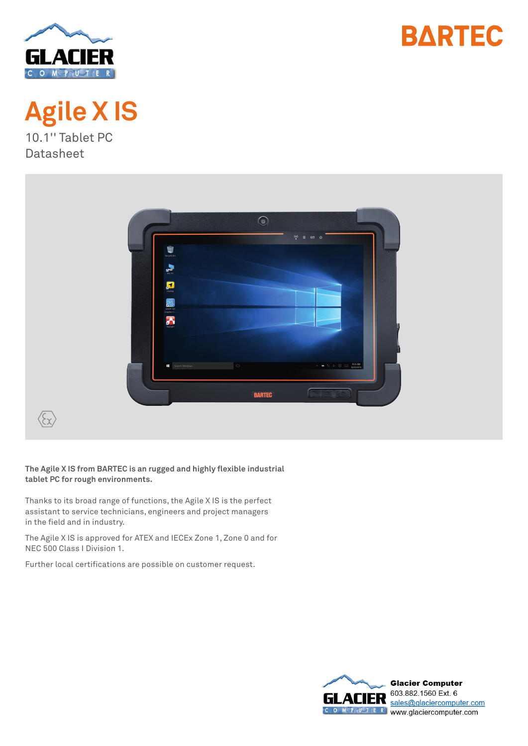





 $\odot$  $\blacksquare$  $\overline{\Leftrightarrow}$   $\overline{\Leftrightarrow}$   $\overline{\Leftrightarrow}$   $\overline{\text{space}}$ **BARTEC**  $\left\langle \widehat{\xi \chi }\right\rangle$ 

**The Agile X IS from BARTEC is an rugged and highly flexible industrial tablet PC for rough environments.**

Thanks to its broad range of functions, the Agile X IS is the perfect assistant to service technicians, engineers and project managers in the field and in industry.

The Agile X IS is approved for ATEX and IECEx Zone 1, Zone 0 and for NEC 500 Class I Division 1.

Further local certifications are possible on customer request.

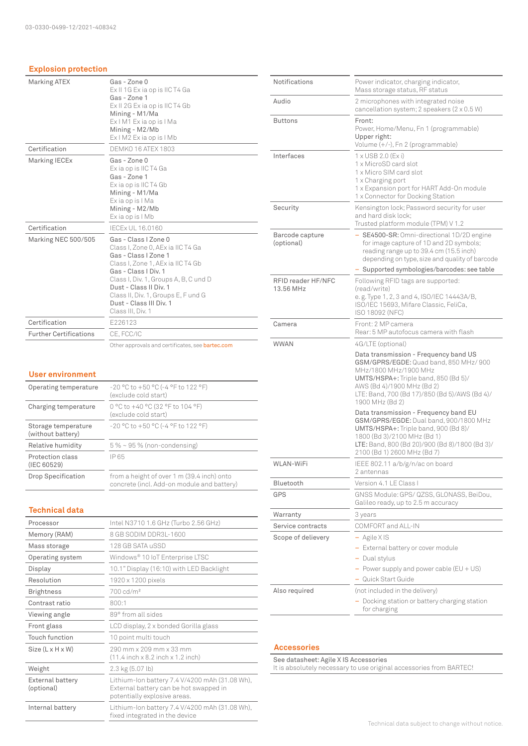#### **Explosion protection**

| <b>Marking ATEX</b>           | Gas - Zone 0<br>Ex II 1G Ex ia op is IIC T4 Ga<br>Gas - Zone 1<br>Ex II 2G Ex ia op is IIC T4 Gb<br>Mining - M1/Ma<br>Ex I M1 Ex ia op is I Ma<br>Mining - M2/Mb<br>Ex I M2 Ex ia op is I Mb                                                                                                             |
|-------------------------------|----------------------------------------------------------------------------------------------------------------------------------------------------------------------------------------------------------------------------------------------------------------------------------------------------------|
| Certification                 | <b>DEMKO 16 ATEX 1803</b>                                                                                                                                                                                                                                                                                |
| Marking IECEx                 | Gas - Zone 0<br>Exia op is IIC T4 Ga<br>Gas - Zone 1<br>Exia op is IIC T4 Gb<br>Mining - M1/Ma<br>Exia op is I Ma<br>Mining - M2/Mb<br>Exia op is I Mb                                                                                                                                                   |
| Certification                 | <b>IECEX UL 16.0160</b>                                                                                                                                                                                                                                                                                  |
| Marking NEC 500/505           | Gas - Class I Zone 0<br>Class I, Zone 0, AEx ia IIC T4 Ga<br>Gas - Class I Zone 1<br>Class I, Zone 1, AEx ia IIC T4 Gb<br>Gas - Class I Div. 1<br>Class I, Div. 1, Groups A, B, C und D<br>Dust - Class II Div. 1<br>Class II, Div. 1, Groups E, F und G<br>Dust - Class III Div. 1<br>Class III, Div. 1 |
| Certification                 | E226123                                                                                                                                                                                                                                                                                                  |
| <b>Further Certifications</b> | CE.FCC/IC                                                                                                                                                                                                                                                                                                |
|                               |                                                                                                                                                                                                                                                                                                          |

Other approvals and certificates, see bartec.com

### **User environment**

| Operating temperature                    | $-20$ °C to $+50$ °C (-4 °F to 122 °F)<br>(exclude cold start)                           |  |
|------------------------------------------|------------------------------------------------------------------------------------------|--|
| Charging temperature                     | 0 °C to +40 °C (32 °F to 104 °F)<br>(exclude cold start)                                 |  |
| Storage temperature<br>(without battery) | $-20$ °C to $+50$ °C (-4 °F to 122 °F)                                                   |  |
| Relative humidity                        | $5\% \sim 95\%$ (non-condensing)                                                         |  |
| Protection class<br>(IEC 60529)          | IP 65                                                                                    |  |
| <b>Drop Specification</b>                | from a height of over 1 m (39.4 inch) onto<br>concrete (incl. Add-on module and battery) |  |

### **Technical data**

| Processor                             | Intel N3710 1.6 GHz (Turbo 2.56 GHz)                                                                                     |  |  |
|---------------------------------------|--------------------------------------------------------------------------------------------------------------------------|--|--|
| Memory (RAM)                          | 8 GB SODIM DDR3L-1600                                                                                                    |  |  |
| Mass storage                          | 128 GB SATA uSSD                                                                                                         |  |  |
| Operating system                      | Windows <sup>®</sup> 10 IoT Enterprise LTSC                                                                              |  |  |
| Display                               | 10.1" Display (16:10) with LED Backlight                                                                                 |  |  |
| Resolution                            | 1920 x 1200 pixels                                                                                                       |  |  |
| <b>Brightness</b>                     | 700 cd/m <sup>2</sup>                                                                                                    |  |  |
| Contrast ratio                        | 800:1                                                                                                                    |  |  |
| Viewing angle                         | 89° from all sides                                                                                                       |  |  |
| Front glass                           | LCD display, 2 x bonded Gorilla glass                                                                                    |  |  |
| Touch function                        | 10 point multi touch                                                                                                     |  |  |
| $Size (L \times H \times W)$          | 290 mm x 209 mm x 33 mm<br>$(11.4$ inch $\times$ 8.2 inch $\times$ 1.2 inch)                                             |  |  |
| Weight                                | $2.3 \text{ kg} (5.07 \text{ lb})$                                                                                       |  |  |
| <b>External battery</b><br>(optional) | Lithium-Ion battery 7.4 V/4200 mAh (31.08 Wh),<br>External battery can be hot swapped in<br>potentially explosive areas. |  |  |
| Internal battery                      | Lithium-Ion battery 7.4 V/4200 mAh (31.08 Wh),<br>fixed integrated in the device                                         |  |  |

| <b>Notifications</b>            | Power indicator, charging indicator,<br>Mass storage status, RF status                                                                                                                                                                             |  |  |
|---------------------------------|----------------------------------------------------------------------------------------------------------------------------------------------------------------------------------------------------------------------------------------------------|--|--|
| Audio                           | 2 microphones with integrated noise<br>cancellation system; 2 speakers (2 x 0.5 W)                                                                                                                                                                 |  |  |
| <b>Buttons</b>                  | Front:<br>Power, Home/Menu, Fn 1 (programmable)<br>Upper right:<br>Volume (+/-), Fn 2 (programmable)                                                                                                                                               |  |  |
| Interfaces                      | 1 x USB 2.0 (Ex i)<br>1 x MicroSD card slot<br>1 x Micro SIM card slot<br>1 x Charging port<br>1 x Expansion port for HART Add-On module<br>1 x Connector for Docking Station                                                                      |  |  |
| Security                        | Kensington lock; Password security for user<br>and hard disk lock:<br>Trusted platform module (TPM) V 1.2                                                                                                                                          |  |  |
| Barcode capture<br>(optional)   | - SE4500-SR: Omni-directional 1D/2D engine<br>for image capture of 1D and 2D symbols;<br>reading range up to 39.4 cm (15.5 inch)<br>depending on type, size and quality of barcode                                                                 |  |  |
|                                 | - Supported symbologies/barcodes: see table                                                                                                                                                                                                        |  |  |
| RFID reader HF/NFC<br>13.56 MHz | Following RFID tags are supported:<br>(read/write)<br>e.g. Type 1, 2, 3 and 4, ISO/IEC 14443A/B,<br>ISO/IEC 15693, Mifare Classic, FeliCa,<br>ISO 18092 (NFC)                                                                                      |  |  |
| Camera                          | Front: 2 MP camera<br>Rear: 5 MP autofocus camera with flash                                                                                                                                                                                       |  |  |
| <b>WWAN</b>                     | 4G/LTE (optional)                                                                                                                                                                                                                                  |  |  |
|                                 | Data transmission - Frequency band US<br>GSM/GPRS/EGDE: Quad band, 850 MHz/ 900<br>MHz/1800 MHz/1900 MHz<br>UMTS/HSPA+: Triple band, 850 (Bd 5)/<br>AWS (Bd 4)/1900 MHz (Bd 2)<br>LTE: Band, 700 (Bd 17)/850 (Bd 5)/AWS (Bd 4)/<br>1900 MHz (Bd 2) |  |  |
|                                 | Data transmission - Frequency band EU<br>GSM/GPRS/EGDE: Dual band, 900/1800 MHz<br>UMTS/HSPA+: Triple band, 900 (Bd 8)/<br>1800 (Bd 3)/2100 MHz (Bd 1)<br>LTE: Band, 800 (Bd 20)/900 (Bd 8)/1800 (Bd 3)/<br>2100 (Bd 1) 2600 MHz (Bd 7)            |  |  |
| WLAN-WiFi                       | IEEE 802.11 a/b/g/n/ac on board<br>2 antennas                                                                                                                                                                                                      |  |  |
| Bluetooth                       | Version 4.1 LE Class I                                                                                                                                                                                                                             |  |  |
| GPS                             | GNSS Module: GPS/ QZSS, GLONASS, BeiDou,<br>Galileo ready, up to 2.5 m accuracy                                                                                                                                                                    |  |  |
| Warranty                        | 3 years                                                                                                                                                                                                                                            |  |  |
| Service contracts               | COMFORT and ALL-IN                                                                                                                                                                                                                                 |  |  |
| Scope of delievery              | $-$ Agile XIS                                                                                                                                                                                                                                      |  |  |
|                                 | - External battery or cover module                                                                                                                                                                                                                 |  |  |
|                                 | - Dual stylus<br>$-$ Power supply and power cable (EU + US)                                                                                                                                                                                        |  |  |
|                                 | - Quick Start Guide                                                                                                                                                                                                                                |  |  |
| Also required                   | (not included in the delivery)                                                                                                                                                                                                                     |  |  |
|                                 | - Docking station or battery charging station<br>for charging                                                                                                                                                                                      |  |  |

#### **Accessories**

See datasheet: Agile X IS Accessories It is absolutely necessary to use original accessories from BARTEC!